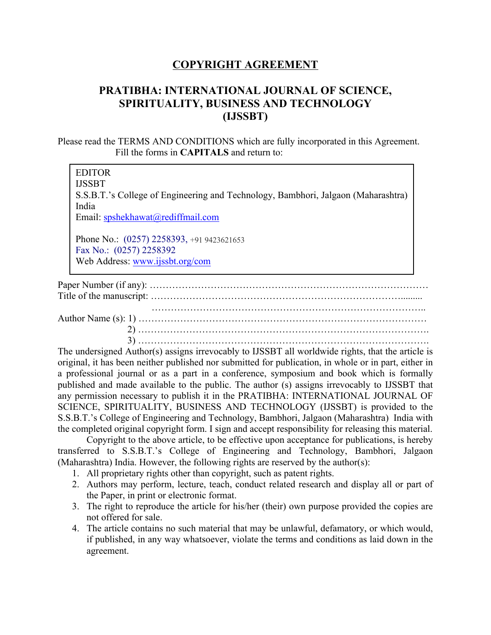## **COPYRIGHT AGREEMENT**

## **PRATIBHA: INTERNATIONAL JOURNAL OF SCIENCE, SPIRITUALITY, BUSINESS AND TECHNOLOGY (IJSSBT)**

Please read the TERMS AND CONDITIONS which are fully incorporated in this Agreement. Fill the forms in **CAPITALS** and return to:

EDITOR IJSSBT S.S.B.T.'s College of Engineering and Technology, Bambhori, Jalgaon (Maharashtra) India Email: [spshekhawat@rediffmail.com](mailto:spshekhawat@rediffmail.com) Phone No.: (0257) 2258393, +91 9423621653 Fax No.: (0257) 2258392

Web Address: [www.ijssbt.org/com](http://www.ijssbt.org/com)

Paper Number (if any): …………………………………………………………………………… Title of the manuscript: ……………………………………………………………………......... ………………………………………………………………………….. Author Name (s): 1) ……………………………………………………………………………… 2) ………………………………………………………………………………. 3) ……………………………………………………………………………….

The undersigned Author(s) assigns irrevocably to IJSSBT all worldwide rights, that the article is original, it has been neither published nor submitted for publication, in whole or in part, either in a professional journal or as a part in a conference, symposium and book which is formally published and made available to the public. The author (s) assigns irrevocably to IJSSBT that any permission necessary to publish it in the PRATIBHA: INTERNATIONAL JOURNAL OF SCIENCE, SPIRITUALITY, BUSINESS AND TECHNOLOGY (IJSSBT) is provided to the S.S.B.T.'s College of Engineering and Technology, Bambhori, Jalgaon (Maharashtra) India with the completed original copyright form. I sign and accept responsibility for releasing this material.

Copyright to the above article, to be effective upon acceptance for publications, is hereby transferred to S.S.B.T.'s College of Engineering and Technology, Bambhori, Jalgaon (Maharashtra) India. However, the following rights are reserved by the author(s):

- 1. All proprietary rights other than copyright, such as patent rights.
- 2. Authors may perform, lecture, teach, conduct related research and display all or part of the Paper, in print or electronic format.
- 3. The right to reproduce the article for his/her (their) own purpose provided the copies are not offered for sale.
- 4. The article contains no such material that may be unlawful, defamatory, or which would, if published, in any way whatsoever, violate the terms and conditions as laid down in the agreement.